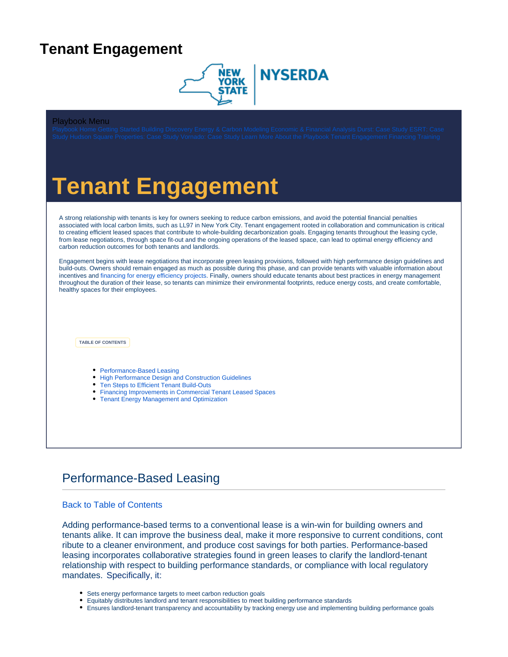## <span id="page-0-0"></span>**Tenant Engagement**



#### Playbook Menu

# **Tenant Engagement**

A strong relationship with tenants is key for owners seeking to reduce carbon emissions, and avoid the potential financial penalties associated with local carbon limits, such as LL97 in New York City. Tenant engagement rooted in collaboration and communication is critical to creating efficient leased spaces that contribute to whole-building decarbonization goals. Engaging tenants throughout the leasing cycle, from lease negotiations, through space fit-out and the ongoing operations of the leased space, can lead to optimal energy efficiency and carbon reduction outcomes for both tenants and landlords.

Engagement begins with lease negotiations that incorporate green leasing provisions, followed with high performance design guidelines and build-outs. Owners should remain engaged as much as possible during this phase, and can provide tenants with valuable information about incentives and [financing for energy efficiency projects.](https://knowledge.nyserda.ny.gov/display/EBP/Financing) Finally, owners should educate tenants about best practices in energy management throughout the duration of their lease, so tenants can minimize their environmental footprints, reduce energy costs, and create comfortable, healthy spaces for their employees.

<span id="page-0-2"></span>**TABLE OF CONTENTS**

- [Performance-Based Leasing](#page-0-1)
- [High Performance Design and Construction Guidelines](#page-1-0)
- [Ten Steps to Efficient Tenant Build-Outs](#page-1-1)
- [Financing Improvements in Commercial Tenant Leased Spaces](#page-2-0)
- [Tenant Energy Management and Optimization](#page-3-0)

### <span id="page-0-1"></span>Performance-Based Leasing

#### [Back to Table of Contents](#page-0-2)

Adding performance-based terms to a conventional lease is a win-win for building owners and tenants alike. It can improve the business deal, make it more responsive to current conditions, cont ribute to a cleaner environment, and produce cost savings for both parties. Performance-based leasing incorporates collaborative strategies found in green leases to clarify the landlord-tenant relationship with respect to building performance standards, or compliance with local regulatory mandates[.](https://www.ipcc.ch/sr15/chapter/chapter-1/) Specifically, it:

- Sets energy performance targets to meet carbon reduction goals
- Equitably distributes landlord and tenant responsibilities to meet building performance standards
- Ensures landlord-tenant transparency and accountability by tracking energy use and implementing building performance goals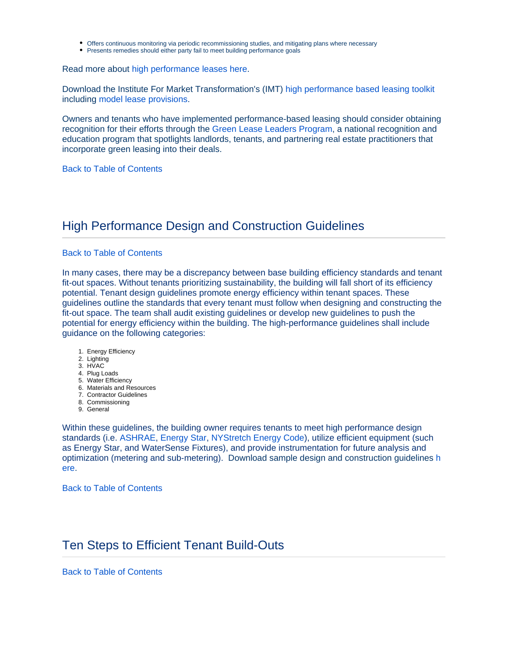- Offers continuous monitoring via periodic recommissioning studies, and mitigating plans where necessary
- Presents remedies should either party fail to meet building performance goals

Read more about [high performance leases here.](https://www.imt.org/resources/reducing-carbon-emissions-with-high-performance-leases/)

Download the Institute For Market Transformation's (IMT) [high performance based leasing toolkit](https://www.imt.org/performance-based-leasing/) including [model lease provisions](https://www.imt.org/resources/summary-of-model-performance-based-lease-provisions/).

Owners and tenants who have implemented performance-based leasing should consider obtaining recognition for their efforts through the [Green Lease Leaders Program,](https://www.greenleaseleaders.com/) a national recognition and education program that spotlights landlords, tenants, and partnering real estate practitioners that incorporate green leasing into their deals.

[Back to Table of Contents](#page-0-2)

### <span id="page-1-0"></span>High Performance Design and Construction Guidelines

#### [Back to Table of Contents](#page-0-2)

In many cases, there may be a discrepancy between base building efficiency standards and tenant fit-out spaces. Without tenants prioritizing sustainability, the building will fall short of its efficiency potential. Tenant design guidelines promote energy efficiency within tenant spaces. These guidelines outline the standards that every tenant must follow when designing and constructing the fit-out space. The team shall audit existing guidelines or develop new guidelines to push the potential for energy efficiency within the building. The high-performance guidelines shall include guidance on the following categories:

- 1. Energy Efficiency
- 2. Lighting
- 3. HVAC
- 4. Plug Loads
- 5. Water Efficiency
- 6. Materials and Resources 7. Contractor Guidelines
- 8. Commissioning
- 9. General

Within these guidelines, the building owner requires tenants to meet high performance design standards (i.e. [ASHRAE,](https://www.ashrae.org/technical-resources/bookstore/ashrae-design-guides) [Energy Star,](https://www.energystar.gov/?s=mega) [NYStretch Energy Code\)](https://www.nyserda.ny.gov/All-Programs/Energy-Code-Training/NYStretch-Energy-Code-2020), utilize efficient equipment (such as Energy Star, and WaterSense Fixtures), and provide instrumentation for future analysis and optimization (metering and sub-metering). [Download sample design and construction guidelines](https://knowledge.nyserda.ny.gov/download/attachments/110723608/High%20Performance%20D%26C%20Construction%20Guidelines_ESRT%20sample.pdf?version=1&modificationDate=1650482479490&api=v2) [h](https://knowledge.nyserda.ny.gov/download/attachments/110723608/High%20Performance%20D%26C%20Construction%20Guidelines_ESRT%20sample.pdf?version=1&modificationDate=1650482479490&api=v2) [ere](https://knowledge.nyserda.ny.gov/download/attachments/110723608/High%20Performance%20D%26C%20Construction%20Guidelines_ESRT%20sample.pdf?version=1&modificationDate=1650482479490&api=v2).

[Back to Table of Contents](#page-0-2)

### <span id="page-1-1"></span>Ten Steps to Efficient Tenant Build-Outs

[Back to Table of Contents](#page-0-2)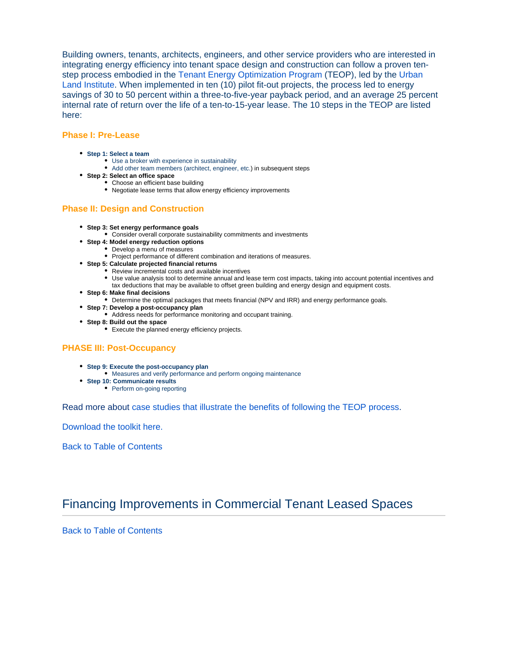Building owners, tenants, architects, engineers, and other service providers who are interested in integrating energy efficiency into tenant space design and construction can follow a proven tenstep process embodied in the [Tenant Energy Optimization Program](https://tenantenergy.uli.org/about/) (TEOP), led by the [Urban](https://uli.org/)  [Land Institute](https://uli.org/). When implemented in ten (10) pilot fit-out projects, the process led to energy savings of 30 to 50 percent within a three-to-five-year payback period, and an average 25 percent internal rate of return over the life of a ten-to-15-year lease. The 10 steps in the TEOP are listed here:

#### **Phase I: Pre-Lease**

- **Step 1: Select a team**
	- Use a broker with experience in sustainability
	- Add other team members (architect, engineer, etc.) in subsequent steps
- **Step 2: Select an office space**
	- Choose an efficient base building
	- Negotiate lease terms that allow energy efficiency improvements

#### **Phase II: Design and Construction**

- **Step 3: Set energy performance goals**
	- Consider overall corporate sustainability commitments and investments
- **Step 4: Model energy reduction options**
	- Develop a menu of measures
	- Project performance of different combination and iterations of measures.
- **Step 5: Calculate projected financial returns**
	- Review incremental costs and available incentives
		- Use value analysis tool to determine annual and lease term cost impacts, taking into account potential incentives and tax deductions that may be available to offset green building and energy design and equipment costs.
- **Step 6: Make final decisions**
	- Determine the optimal packages that meets financial (NPV and IRR) and energy performance goals.
- **Step 7: Develop a post-occupancy plan**
	- Address needs for performance monitoring and occupant training.
- **Step 8: Build out the space**
	- Execute the planned energy efficiency projects.

#### **PHASE III: Post-Occupancy**

- **Step 9: Execute the post-occupancy plan**
	- Measures and verify performance and perform ongoing maintenance
- **Step 10: Communicate results**
	- Perform on-going reporting

Read more about [case studies that illustrate the benefits of following the TEOP process](https://tenantenergy.uli.org/case-studies/).

[Download the toolkit here.](https://tenantenergy.uli.org/resources/)

[Back to Table of Contents](#page-0-2)

### <span id="page-2-0"></span>Financing Improvements in Commercial Tenant Leased Spaces

[Back to Table of Contents](#page-0-2)